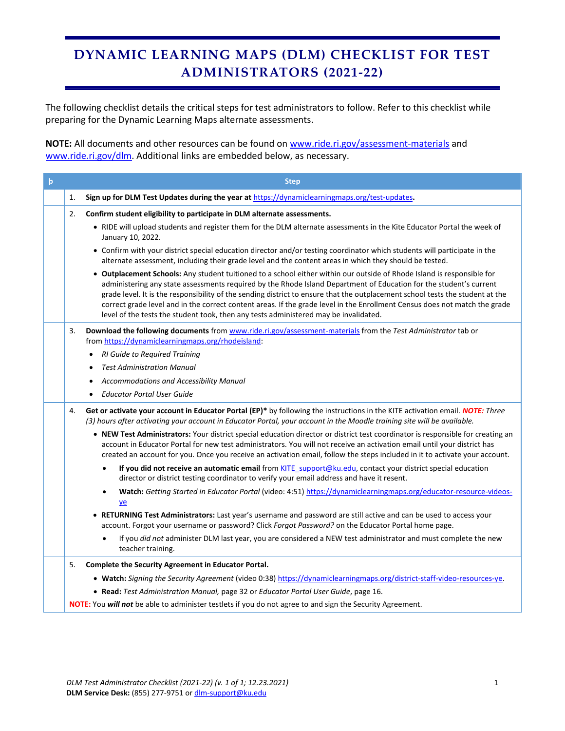## **DYNAMIC LEARNING MAPS (DLM) CHECKLIST FOR TEST ADMINISTRATORS (2021-22)**

The following checklist details the critical steps for test administrators to follow. Refer to this checklist while preparing for the Dynamic Learning Maps alternate assessments.

**NOTE:** All documents and other resources can be found on [www.ride.ri.gov/assessment-materials](http://www.ride.ri.gov/assessment-materials) and [www.ride.ri.gov/dlm.](http://www.ride.ri.gov/dlm) Additional links are embedded below, as necessary.

| $\mathsf{p}$ |    | <b>Step</b>                                                                                                                                                                                                                                                                                                                                                                                                                                                                                                                                                                                         |
|--------------|----|-----------------------------------------------------------------------------------------------------------------------------------------------------------------------------------------------------------------------------------------------------------------------------------------------------------------------------------------------------------------------------------------------------------------------------------------------------------------------------------------------------------------------------------------------------------------------------------------------------|
|              | 1. | Sign up for DLM Test Updates during the year at https://dynamiclearningmaps.org/test-updates.                                                                                                                                                                                                                                                                                                                                                                                                                                                                                                       |
|              | 2. | Confirm student eligibility to participate in DLM alternate assessments.                                                                                                                                                                                                                                                                                                                                                                                                                                                                                                                            |
|              |    | . RIDE will upload students and register them for the DLM alternate assessments in the Kite Educator Portal the week of<br>January 10, 2022.                                                                                                                                                                                                                                                                                                                                                                                                                                                        |
|              |    | • Confirm with your district special education director and/or testing coordinator which students will participate in the<br>alternate assessment, including their grade level and the content areas in which they should be tested.                                                                                                                                                                                                                                                                                                                                                                |
|              |    | . Outplacement Schools: Any student tuitioned to a school either within our outside of Rhode Island is responsible for<br>administering any state assessments required by the Rhode Island Department of Education for the student's current<br>grade level. It is the responsibility of the sending district to ensure that the outplacement school tests the student at the<br>correct grade level and in the correct content areas. If the grade level in the Enrollment Census does not match the grade<br>level of the tests the student took, then any tests administered may be invalidated. |
|              | 3. | Download the following documents from www.ride.ri.gov/assessment-materials from the Test Administrator tab or<br>from https://dynamiclearningmaps.org/rhodeisland:                                                                                                                                                                                                                                                                                                                                                                                                                                  |
|              |    | <b>RI Guide to Required Training</b>                                                                                                                                                                                                                                                                                                                                                                                                                                                                                                                                                                |
|              |    | <b>Test Administration Manual</b>                                                                                                                                                                                                                                                                                                                                                                                                                                                                                                                                                                   |
|              |    | Accommodations and Accessibility Manual<br><b>Educator Portal User Guide</b><br>$\bullet$                                                                                                                                                                                                                                                                                                                                                                                                                                                                                                           |
|              |    |                                                                                                                                                                                                                                                                                                                                                                                                                                                                                                                                                                                                     |
|              | 4. | Get or activate your account in Educator Portal (EP)* by following the instructions in the KITE activation email. NOTE: Three<br>(3) hours after activating your account in Educator Portal, your account in the Moodle training site will be available.                                                                                                                                                                                                                                                                                                                                            |
|              |    | . NEW Test Administrators: Your district special education director or district test coordinator is responsible for creating an<br>account in Educator Portal for new test administrators. You will not receive an activation email until your district has<br>created an account for you. Once you receive an activation email, follow the steps included in it to activate your account.                                                                                                                                                                                                          |
|              |    | If you did not receive an automatic email from KITE support@ku.edu, contact your district special education<br>$\bullet$<br>director or district testing coordinator to verify your email address and have it resent.                                                                                                                                                                                                                                                                                                                                                                               |
|              |    | Watch: Getting Started in Educator Portal (video: 4:51) https://dynamiclearningmaps.org/educator-resource-videos-<br>$\bullet$<br>$ye$                                                                                                                                                                                                                                                                                                                                                                                                                                                              |
|              |    | • RETURNING Test Administrators: Last year's username and password are still active and can be used to access your<br>account. Forgot your username or password? Click Forgot Password? on the Educator Portal home page.                                                                                                                                                                                                                                                                                                                                                                           |
|              |    | If you did not administer DLM last year, you are considered a NEW test administrator and must complete the new<br>$\bullet$<br>teacher training.                                                                                                                                                                                                                                                                                                                                                                                                                                                    |
|              | 5. | Complete the Security Agreement in Educator Portal.                                                                                                                                                                                                                                                                                                                                                                                                                                                                                                                                                 |
|              |    | . Watch: Signing the Security Agreement (video 0:38) https://dynamiclearningmaps.org/district-staff-video-resources-ye.                                                                                                                                                                                                                                                                                                                                                                                                                                                                             |
|              |    | . Read: Test Administration Manual, page 32 or Educator Portal User Guide, page 16.                                                                                                                                                                                                                                                                                                                                                                                                                                                                                                                 |
|              |    | NOTE: You will not be able to administer testlets if you do not agree to and sign the Security Agreement.                                                                                                                                                                                                                                                                                                                                                                                                                                                                                           |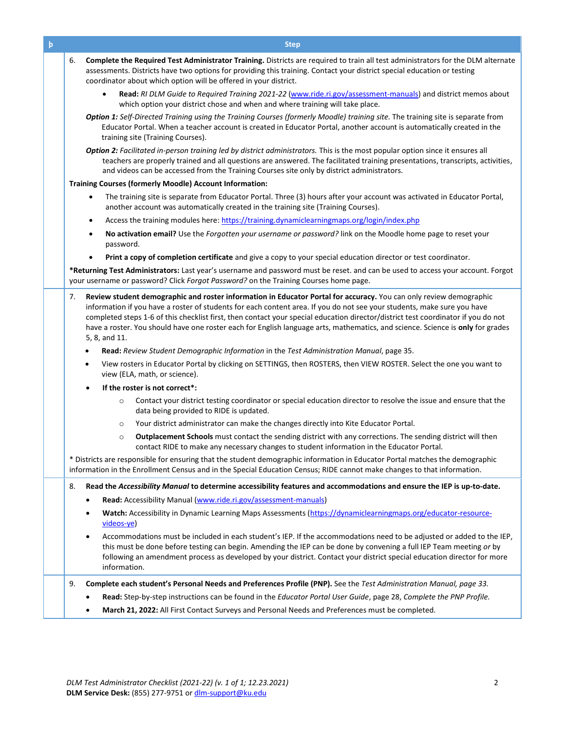| þ | <b>Step</b>                                                                                                                                                                                                                                                                                                                                                                                                                                                                                                                                 |
|---|---------------------------------------------------------------------------------------------------------------------------------------------------------------------------------------------------------------------------------------------------------------------------------------------------------------------------------------------------------------------------------------------------------------------------------------------------------------------------------------------------------------------------------------------|
|   | 6.<br>Complete the Required Test Administrator Training. Districts are required to train all test administrators for the DLM alternate<br>assessments. Districts have two options for providing this training. Contact your district special education or testing<br>coordinator about which option will be offered in your district.                                                                                                                                                                                                       |
|   | Read: RI DLM Guide to Required Training 2021-22 (www.ride.ri.gov/assessment-manuals) and district memos about<br>which option your district chose and when and where training will take place.                                                                                                                                                                                                                                                                                                                                              |
|   | Option 1: Self-Directed Training using the Training Courses (formerly Moodle) training site. The training site is separate from<br>Educator Portal. When a teacher account is created in Educator Portal, another account is automatically created in the<br>training site (Training Courses).                                                                                                                                                                                                                                              |
|   | Option 2: Facilitated in-person training led by district administrators. This is the most popular option since it ensures all<br>teachers are properly trained and all questions are answered. The facilitated training presentations, transcripts, activities,<br>and videos can be accessed from the Training Courses site only by district administrators.                                                                                                                                                                               |
|   | <b>Training Courses (formerly Moodle) Account Information:</b>                                                                                                                                                                                                                                                                                                                                                                                                                                                                              |
|   | The training site is separate from Educator Portal. Three (3) hours after your account was activated in Educator Portal,<br>٠<br>another account was automatically created in the training site (Training Courses).                                                                                                                                                                                                                                                                                                                         |
|   | Access the training modules here: https://training.dynamiclearningmaps.org/login/index.php<br>$\bullet$                                                                                                                                                                                                                                                                                                                                                                                                                                     |
|   | No activation email? Use the Forgotten your username or password? link on the Moodle home page to reset your<br>$\bullet$<br>password.                                                                                                                                                                                                                                                                                                                                                                                                      |
|   | Print a copy of completion certificate and give a copy to your special education director or test coordinator.                                                                                                                                                                                                                                                                                                                                                                                                                              |
|   | *Returning Test Administrators: Last year's username and password must be reset. and can be used to access your account. Forgot<br>your username or password? Click Forgot Password? on the Training Courses home page.                                                                                                                                                                                                                                                                                                                     |
|   | Review student demographic and roster information in Educator Portal for accuracy. You can only review demographic<br>7.<br>information if you have a roster of students for each content area. If you do not see your students, make sure you have<br>completed steps 1-6 of this checklist first, then contact your special education director/district test coordinator if you do not<br>have a roster. You should have one roster each for English language arts, mathematics, and science. Science is only for grades<br>5, 8, and 11. |
|   | Read: Review Student Demographic Information in the Test Administration Manual, page 35.<br>٠                                                                                                                                                                                                                                                                                                                                                                                                                                               |
|   | View rosters in Educator Portal by clicking on SETTINGS, then ROSTERS, then VIEW ROSTER. Select the one you want to<br>view (ELA, math, or science).                                                                                                                                                                                                                                                                                                                                                                                        |
|   | If the roster is not correct*:                                                                                                                                                                                                                                                                                                                                                                                                                                                                                                              |
|   | Contact your district testing coordinator or special education director to resolve the issue and ensure that the<br>$\circ$<br>data being provided to RIDE is updated.                                                                                                                                                                                                                                                                                                                                                                      |
|   | Your district administrator can make the changes directly into Kite Educator Portal.<br>$\circ$                                                                                                                                                                                                                                                                                                                                                                                                                                             |
|   | Outplacement Schools must contact the sending district with any corrections. The sending district will then<br>$\circ$<br>contact RIDE to make any necessary changes to student information in the Educator Portal.                                                                                                                                                                                                                                                                                                                         |
|   | * Districts are responsible for ensuring that the student demographic information in Educator Portal matches the demographic<br>information in the Enrollment Census and in the Special Education Census; RIDE cannot make changes to that information.                                                                                                                                                                                                                                                                                     |
|   | Read the Accessibility Manual to determine accessibility features and accommodations and ensure the IEP is up-to-date.<br>8.                                                                                                                                                                                                                                                                                                                                                                                                                |
|   | Read: Accessibility Manual (www.ride.ri.gov/assessment-manuals)                                                                                                                                                                                                                                                                                                                                                                                                                                                                             |
|   | Watch: Accessibility in Dynamic Learning Maps Assessments (https://dynamiclearningmaps.org/educator-resource-<br>videos-ye)                                                                                                                                                                                                                                                                                                                                                                                                                 |
|   | Accommodations must be included in each student's IEP. If the accommodations need to be adjusted or added to the IEP,<br>this must be done before testing can begin. Amending the IEP can be done by convening a full IEP Team meeting or by<br>following an amendment process as developed by your district. Contact your district special education director for more<br>information.                                                                                                                                                     |
|   | Complete each student's Personal Needs and Preferences Profile (PNP). See the Test Administration Manual, page 33.<br>9.                                                                                                                                                                                                                                                                                                                                                                                                                    |
|   | Read: Step-by-step instructions can be found in the Educator Portal User Guide, page 28, Complete the PNP Profile.                                                                                                                                                                                                                                                                                                                                                                                                                          |
|   | March 21, 2022: All First Contact Surveys and Personal Needs and Preferences must be completed.                                                                                                                                                                                                                                                                                                                                                                                                                                             |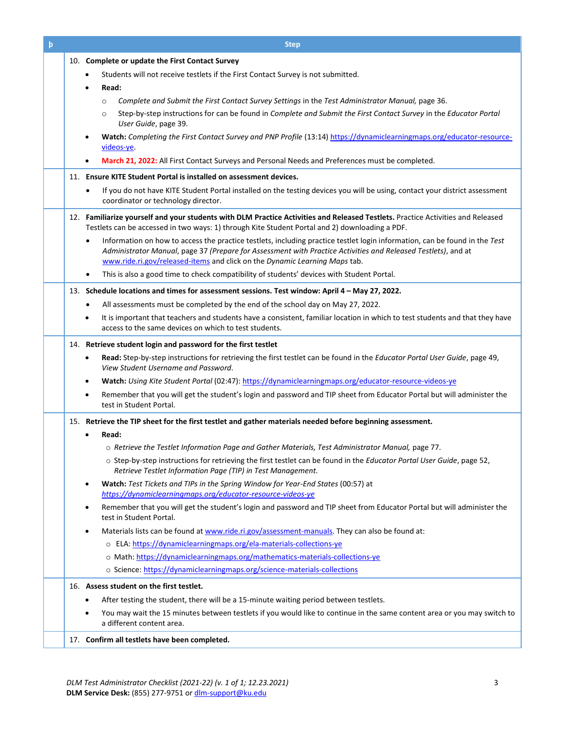| þ | <b>Step</b>                                                                                                                                                                                 |
|---|---------------------------------------------------------------------------------------------------------------------------------------------------------------------------------------------|
|   | 10. Complete or update the First Contact Survey                                                                                                                                             |
|   | Students will not receive testlets if the First Contact Survey is not submitted.                                                                                                            |
|   | Read:                                                                                                                                                                                       |
|   | Complete and Submit the First Contact Survey Settings in the Test Administrator Manual, page 36.<br>$\circ$                                                                                 |
|   | Step-by-step instructions for can be found in Complete and Submit the First Contact Survey in the Educator Portal<br>$\circ$                                                                |
|   | User Guide, page 39.                                                                                                                                                                        |
|   | Watch: Completing the First Contact Survey and PNP Profile (13:14) https://dynamiclearningmaps.org/educator-resource-<br>videos-ye.                                                         |
|   | March 21, 2022: All First Contact Surveys and Personal Needs and Preferences must be completed.                                                                                             |
|   | 11. Ensure KITE Student Portal is installed on assessment devices.                                                                                                                          |
|   | If you do not have KITE Student Portal installed on the testing devices you will be using, contact your district assessment<br>$\bullet$                                                    |
|   | coordinator or technology director.                                                                                                                                                         |
|   | 12. Familiarize yourself and your students with DLM Practice Activities and Released Testlets. Practice Activities and Released                                                             |
|   | Testlets can be accessed in two ways: 1) through Kite Student Portal and 2) downloading a PDF.                                                                                              |
|   | Information on how to access the practice testlets, including practice testlet login information, can be found in the Test<br>$\bullet$                                                     |
|   | Administrator Manual, page 37 (Prepare for Assessment with Practice Activities and Released Testlets), and at<br>www.ride.ri.gov/released-items and click on the Dynamic Learning Maps tab. |
|   | This is also a good time to check compatibility of students' devices with Student Portal.                                                                                                   |
|   | 13. Schedule locations and times for assessment sessions. Test window: April 4 - May 27, 2022.                                                                                              |
|   | All assessments must be completed by the end of the school day on May 27, 2022.<br>٠                                                                                                        |
|   | It is important that teachers and students have a consistent, familiar location in which to test students and that they have<br>$\bullet$                                                   |
|   | access to the same devices on which to test students.                                                                                                                                       |
|   | 14. Retrieve student login and password for the first testlet                                                                                                                               |
|   | Read: Step-by-step instructions for retrieving the first testlet can be found in the Educator Portal User Guide, page 49,<br>$\bullet$<br>View Student Username and Password.               |
|   | Watch: Using Kite Student Portal (02:47): https://dynamiclearningmaps.org/educator-resource-videos-ye<br>$\bullet$                                                                          |
|   | Remember that you will get the student's login and password and TIP sheet from Educator Portal but will administer the<br>$\bullet$<br>test in Student Portal.                              |
|   | 15. Retrieve the TIP sheet for the first testlet and gather materials needed before beginning assessment.                                                                                   |
|   | Read:                                                                                                                                                                                       |
|   | o Retrieve the Testlet Information Page and Gather Materials, Test Administrator Manual, page 77.                                                                                           |
|   | ○ Step-by-step instructions for retrieving the first testlet can be found in the Educator Portal User Guide, page 52,<br>Retrieve Testlet Information Page (TIP) in Test Management.        |
|   | Watch: Test Tickets and TIPs in the Spring Window for Year-End States (00:57) at<br>$\bullet$                                                                                               |
|   | https://dynamiclearningmaps.org/educator-resource-videos-ye<br>Remember that you will get the student's login and password and TIP sheet from Educator Portal but will administer the       |
|   | ٠<br>test in Student Portal.                                                                                                                                                                |
|   | Materials lists can be found at www.ride.ri.gov/assessment-manuals. They can also be found at:<br>٠                                                                                         |
|   | o ELA: https://dynamiclearningmaps.org/ela-materials-collections-ye                                                                                                                         |
|   | o Math: https://dynamiclearningmaps.org/mathematics-materials-collections-ye                                                                                                                |
|   | o Science: https://dynamiclearningmaps.org/science-materials-collections                                                                                                                    |
|   | 16. Assess student on the first testlet.                                                                                                                                                    |
|   | After testing the student, there will be a 15-minute waiting period between testlets.<br>٠                                                                                                  |
|   | You may wait the 15 minutes between testlets if you would like to continue in the same content area or you may switch to<br>a different content area.                                       |
|   | 17. Confirm all testlets have been completed.                                                                                                                                               |